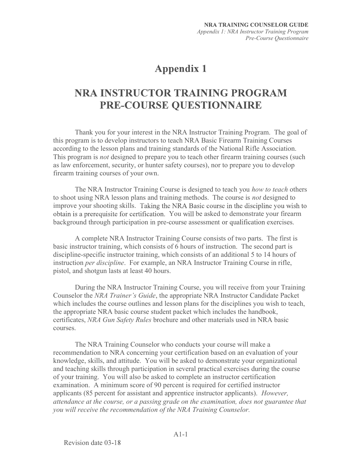## **Appendix 1**

## NRA INSTRUCTOR TRAINING PROGRAM PRE-COURSE QUESTIONNAIRE

Thank you for your interest in the NRA Instructor Training Program. The goal of this program is to develop instructors to teach NRA Basic Firearm Training Courses according to the lesson plans and training standards of the National Rifle Association. This program is *not* designed to prepare you to teach other firearm training courses (such as law enforcement, security, or hunter safety courses), nor to prepare you to develop firearm training courses of your own.

The NRA Instructor Training Course is designed to teach you how to teach others to shoot using NRA lesson plans and training methods. The course is not designed to improve your shooting skills. Taking the NRA Basic course in the discipline you wish to obtain is a prerequisite for certification. You will be asked to demonstrate your firearm background through participation in pre-course assessment or qualification exercises.

A complete NRA Instructor Training Course consists of two parts. The first is basic instructor training, which consists of 6 hours of instruction. The second part is discipline-specific instructor training, which consists of an additional 5 to 14 hours of instruction per discipline. For example, an NRA Instructor Training Course in rifle, pistol, and shotgun lasts at least 40 hours.

During the NRA Instructor Training Course, you will receive from your Training Counselor the NRA Trainer's Guide, the appropriate NRA Instructor Candidate Packet which includes the course outlines and lesson plans for the disciplines you wish to teach, the appropriate NRA basic course student packet which includes the handbook, certificates, NRA Gun Safety Rules brochure and other materials used in NRA basic courses.

The NRA Training Counselor who conducts your course will make a recommendation to NRA concerning your certification based on an evaluation of your knowledge, skills, and attitude. You will be asked to demonstrate your organizational and teaching skills through participation in several practical exercises during the course of your training. You will also be asked to complete an instructor certification examination. A minimum score of 90 percent is required for certified instructor applicants (85 percent for assistant and apprentice instructor applicants). However, attendance at the course, or a passing grade on the examination, does not guarantee that you will receive the recommendation of the NRA Training Counselor.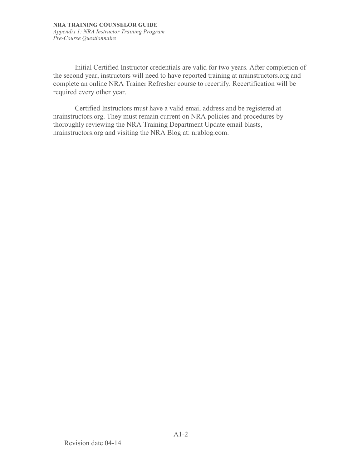Initial Certified Instructor credentials are valid for two years. After completion of the second year, instructors will need to have reported training at nrainstructors.org and complete an online NRA Trainer Refresher course to recertify. Recertification will be required every other year.

Certified Instructors must have a valid email address and be registered at nrainstructors.org. They must remain current on NRA policies and procedures by thoroughly reviewing the NRA Training Department Update email blasts, nrainstructors.org and visiting the NRA Blog at: nrablog.com.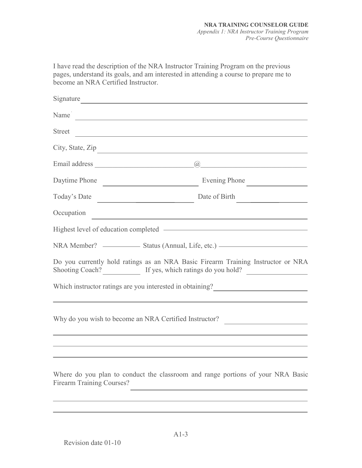I have read the description of the NRA Instructor Training Program on the previous pages, understand its goals, and am interested in attending a course to prepare me to become an NRA Certified Instructor.

| Signature                        |                                                                                                                                                                                                                                                                                         |
|----------------------------------|-----------------------------------------------------------------------------------------------------------------------------------------------------------------------------------------------------------------------------------------------------------------------------------------|
| Name                             |                                                                                                                                                                                                                                                                                         |
|                                  | Street                                                                                                                                                                                                                                                                                  |
|                                  | City, State, Zip                                                                                                                                                                                                                                                                        |
|                                  |                                                                                                                                                                                                                                                                                         |
|                                  | Daytime Phone <u>Conservation and Evening Phone</u>                                                                                                                                                                                                                                     |
|                                  | Date of Birth                                                                                                                                                                                                                                                                           |
| Occupation                       | <u> 1989 - Johann Stein, marwolaethau a bhann an t-Amhain an t-Amhain an t-Amhain an t-Amhain an t-Amhain an t-A</u>                                                                                                                                                                    |
|                                  | Highest level of education completed ————————————————————                                                                                                                                                                                                                               |
|                                  |                                                                                                                                                                                                                                                                                         |
|                                  | Do you currently hold ratings as an NRA Basic Firearm Training Instructor or NRA<br>Shooting Coach? If yes, which ratings do you hold?                                                                                                                                                  |
|                                  |                                                                                                                                                                                                                                                                                         |
|                                  | Why do you wish to become an NRA Certified Instructor?<br>the control of the control of the control of the control of the control of the control of the control of the control of the control of the control of the control of the control of the control of the control of the control |
|                                  |                                                                                                                                                                                                                                                                                         |
| <b>Firearm Training Courses?</b> | Where do you plan to conduct the classroom and range portions of your NRA Basic                                                                                                                                                                                                         |